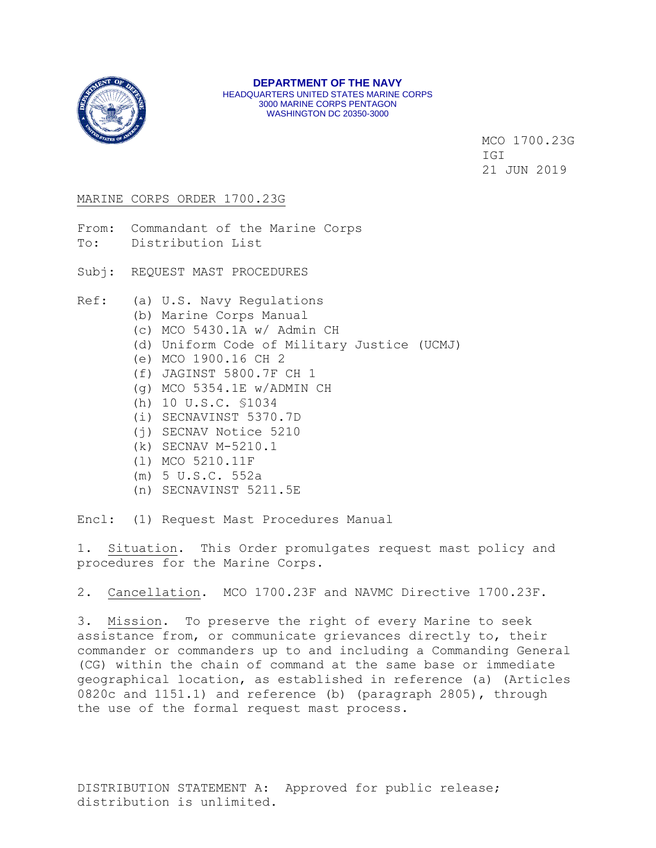

MCO 1700.23G IGI 21 JUN 2019

### MARINE CORPS ORDER 1700.23G

From: Commandant of the Marine Corps To: Distribution List

Subj: REQUEST MAST PROCEDURES

Ref: (a) U.S. Navy Regulations

- (b) Marine Corps Manual
- (c) MCO 5430.1A w/ Admin CH
- (d) Uniform Code of Military Justice (UCMJ)
- (e) MCO 1900.16 CH 2
- (f) JAGINST 5800.7F CH 1
- (g) MCO 5354.1E w/ADMIN CH
- (h) 10 U.S.C. §1034
- (i) SECNAVINST 5370.7D
- (j) SECNAV Notice 5210
- (k) SECNAV M-5210.1
- (l) MCO 5210.11F
- (m) 5 U.S.C. 552a
- (n) SECNAVINST 5211.5E

Encl: (1) Request Mast Procedures Manual

1. Situation. This Order promulgates request mast policy and procedures for the Marine Corps.

2. Cancellation. MCO 1700.23F and NAVMC Directive 1700.23F.

3. Mission. To preserve the right of every Marine to seek assistance from, or communicate grievances directly to, their commander or commanders up to and including a Commanding General (CG) within the chain of command at the same base or immediate geographical location, as established in reference (a) (Articles 0820c and 1151.1) and reference (b) (paragraph 2805), through the use of the formal request mast process.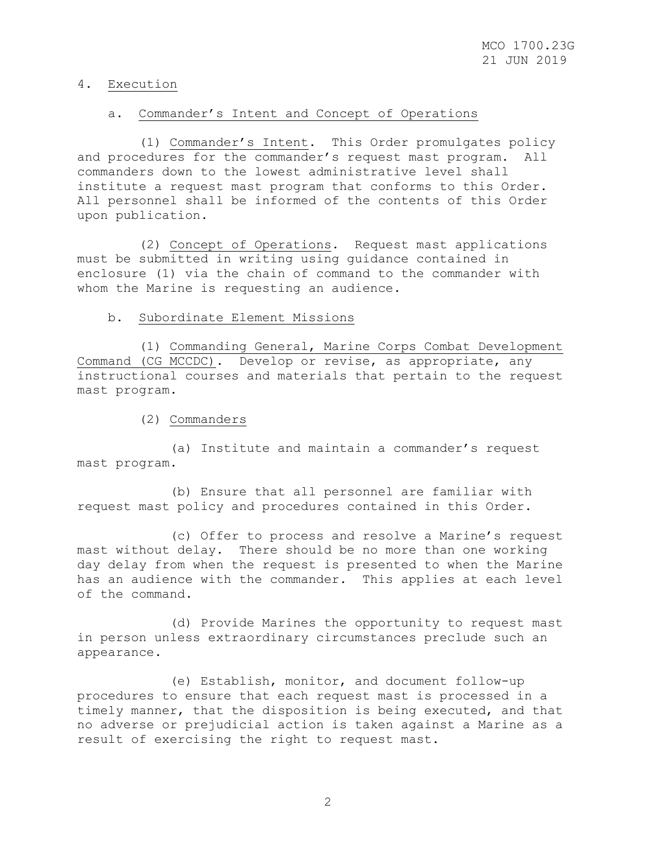### 4. Execution

# a. Commander's Intent and Concept of Operations

 (1) Commander's Intent. This Order promulgates policy and procedures for the commander's request mast program. All commanders down to the lowest administrative level shall institute a request mast program that conforms to this Order. All personnel shall be informed of the contents of this Order upon publication.

 (2) Concept of Operations. Request mast applications must be submitted in writing using guidance contained in enclosure (1) via the chain of command to the commander with whom the Marine is requesting an audience.

# b. Subordinate Element Missions

 (1) Commanding General, Marine Corps Combat Development Command (CG MCCDC). Develop or revise, as appropriate, any instructional courses and materials that pertain to the request mast program.

(2) Commanders

 (a) Institute and maintain a commander's request mast program.

 (b) Ensure that all personnel are familiar with request mast policy and procedures contained in this Order.

 (c) Offer to process and resolve a Marine's request mast without delay. There should be no more than one working day delay from when the request is presented to when the Marine has an audience with the commander. This applies at each level of the command.

 (d) Provide Marines the opportunity to request mast in person unless extraordinary circumstances preclude such an appearance.

 (e) Establish, monitor, and document follow-up procedures to ensure that each request mast is processed in a timely manner, that the disposition is being executed, and that no adverse or prejudicial action is taken against a Marine as a result of exercising the right to request mast.

2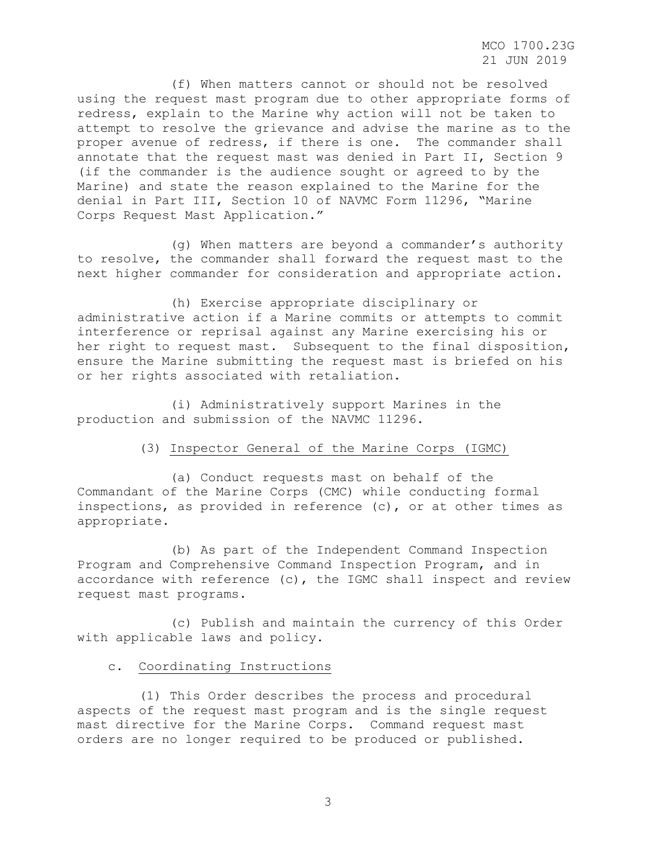MCO 1700.23G 21 JUN 2019

 (f) When matters cannot or should not be resolved using the request mast program due to other appropriate forms of redress, explain to the Marine why action will not be taken to attempt to resolve the grievance and advise the marine as to the proper avenue of redress, if there is one. The commander shall annotate that the request mast was denied in Part II, Section 9 (if the commander is the audience sought or agreed to by the Marine) and state the reason explained to the Marine for the denial in Part III, Section 10 of NAVMC Form 11296, "Marine Corps Request Mast Application."

 (g) When matters are beyond a commander's authority to resolve, the commander shall forward the request mast to the next higher commander for consideration and appropriate action.

 (h) Exercise appropriate disciplinary or administrative action if a Marine commits or attempts to commit interference or reprisal against any Marine exercising his or her right to request mast. Subsequent to the final disposition, ensure the Marine submitting the request mast is briefed on his or her rights associated with retaliation.

 (i) Administratively support Marines in the production and submission of the NAVMC 11296.

# (3) Inspector General of the Marine Corps (IGMC)

 (a) Conduct requests mast on behalf of the Commandant of the Marine Corps (CMC) while conducting formal inspections, as provided in reference (c), or at other times as appropriate.

 (b) As part of the Independent Command Inspection Program and Comprehensive Command Inspection Program, and in accordance with reference (c), the IGMC shall inspect and review request mast programs.

 (c) Publish and maintain the currency of this Order with applicable laws and policy.

# c. Coordinating Instructions

 (1) This Order describes the process and procedural aspects of the request mast program and is the single request mast directive for the Marine Corps. Command request mast orders are no longer required to be produced or published.

3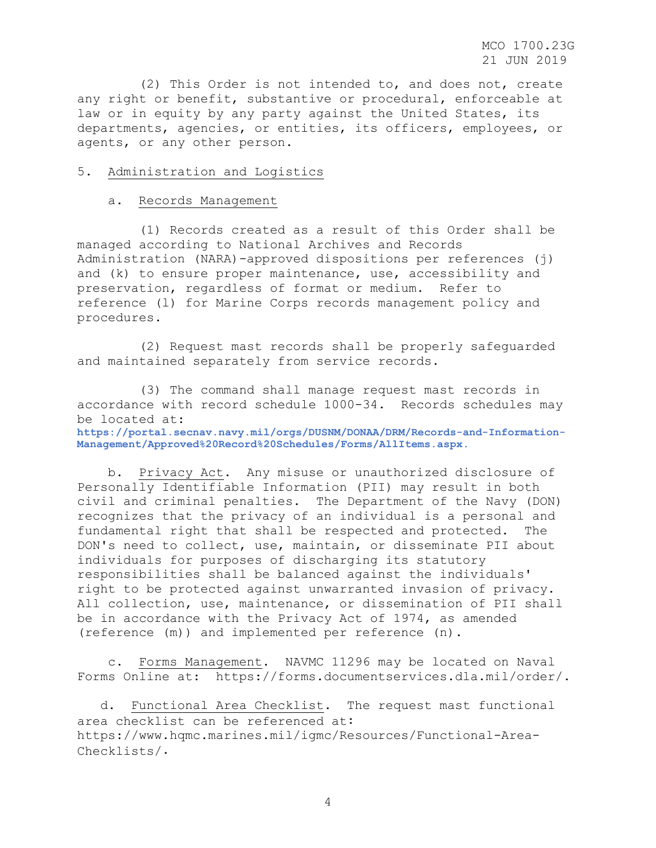MCO 1700.23G 21 JUN 2019

 (2) This Order is not intended to, and does not, create any right or benefit, substantive or procedural, enforceable at law or in equity by any party against the United States, its departments, agencies, or entities, its officers, employees, or agents, or any other person.

### 5. Administration and Logistics

### a. Records Management

 (1) Records created as a result of this Order shall be managed according to National Archives and Records Administration (NARA)-approved dispositions per references (j) and (k) to ensure proper maintenance, use, accessibility and preservation, regardless of format or medium. Refer to reference (l) for Marine Corps records management policy and procedures.

 (2) Request mast records shall be properly safeguarded and maintained separately from service records.

 (3) The command shall manage request mast records in accordance with record schedule 1000-34. Records schedules may be located at:

**[https://portal.secnav.navy.mil/orgs/DUSNM/DONAA/DRM/Records-and-Information-](https://portal.secnav.navy.mil/orgs/DUSNM/DONAA/DRM/Records-and-Information-Management/Approved%20Record%20Schedules/Forms/AllItems.aspx)[Management/Approved%20Record%20Schedules/Forms/AllItems.aspx](https://portal.secnav.navy.mil/orgs/DUSNM/DONAA/DRM/Records-and-Information-Management/Approved%20Record%20Schedules/Forms/AllItems.aspx)**.

 b. Privacy Act. Any misuse or unauthorized disclosure of Personally Identifiable Information (PII) may result in both civil and criminal penalties. The Department of the Navy (DON) recognizes that the privacy of an individual is a personal and fundamental right that shall be respected and protected. The DON's need to collect, use, maintain, or disseminate PII about individuals for purposes of discharging its statutory responsibilities shall be balanced against the individuals' right to be protected against unwarranted invasion of privacy. All collection, use, maintenance, or dissemination of PII shall be in accordance with the Privacy Act of 1974, as amended (reference (m)) and implemented per reference (n).

 c. Forms Management. NAVMC 11296 may be located on Naval Forms Online at: [https://forms.documentservices.dla.mil/order/.](https://forms.documentservices.dla.mil/order/)

 d. Functional Area Checklist. The request mast functional area checklist can be referenced at: [https://www.hqmc.marines.mil/igmc/Resources/Functional-Area-](https://www.hqmc.marines.mil/igmc/Resources/Functional-Area-Checklists/)[Checklists/.](https://www.hqmc.marines.mil/igmc/Resources/Functional-Area-Checklists/)

4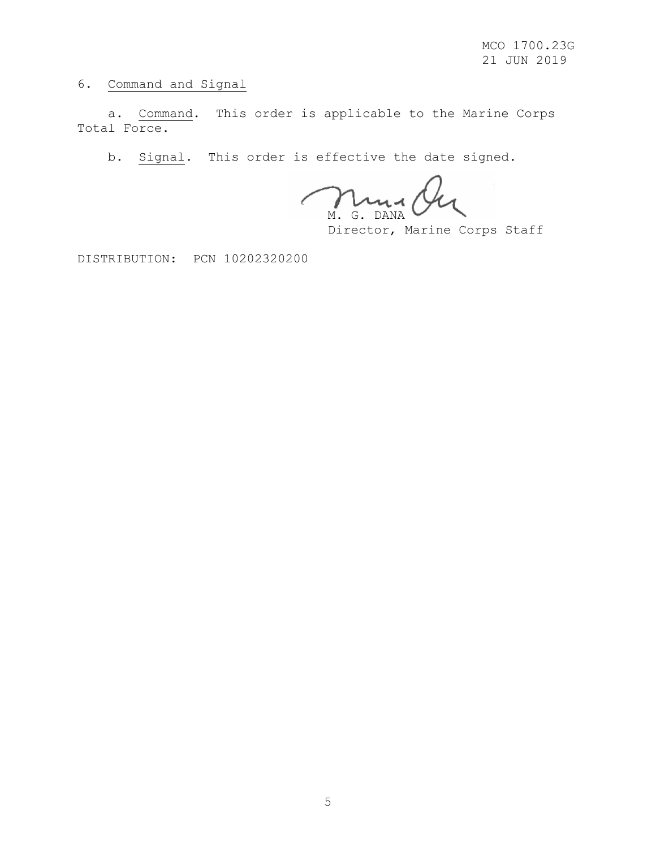6. Command and Signal

 a. Command. This order is applicable to the Marine Corps Total Force.

b. Signal. This order is effective the date signed.

 $\lambda$ ua M. G. DANA

Director, Marine Corps Staff

DISTRIBUTION: PCN 10202320200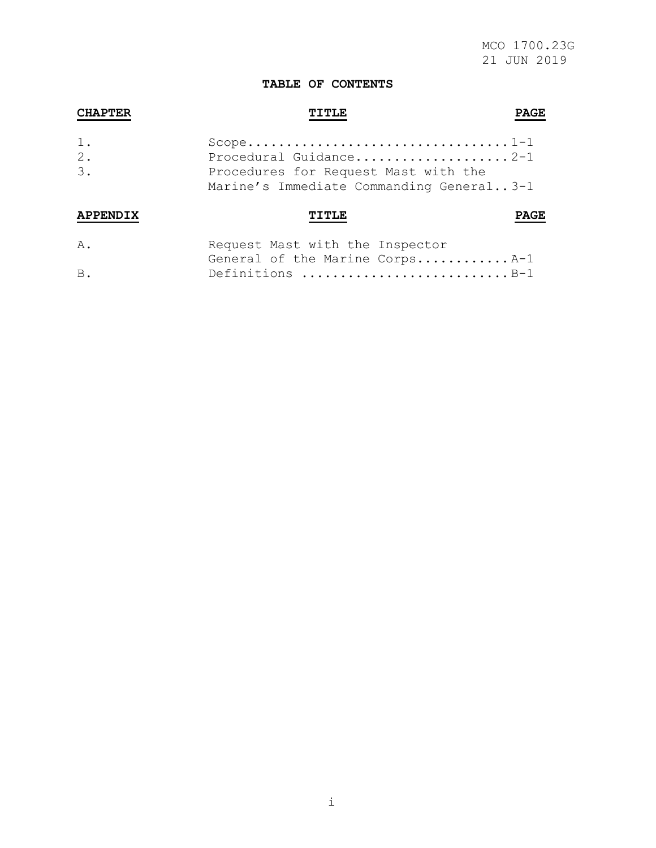# **TABLE OF CONTENTS**

| <b>CHAPTER</b>       |                                                                                                            |  |  |
|----------------------|------------------------------------------------------------------------------------------------------------|--|--|
| $1$ .<br>$2$ .<br>3. | Procedural Guidance2-1<br>Procedures for Request Mast with the<br>Marine's Immediate Commanding General3-1 |  |  |
| <b>APPEN</b>         | TTTT.F                                                                                                     |  |  |
| Α.                   | Request Mast with the Inspector                                                                            |  |  |

| $\mathbf{\mathsf{A}}$ . | Request mast with the Inspector |  |
|-------------------------|---------------------------------|--|
|                         | General of the Marine CorpsA-1  |  |
| $B$ .                   | Definitions B-1                 |  |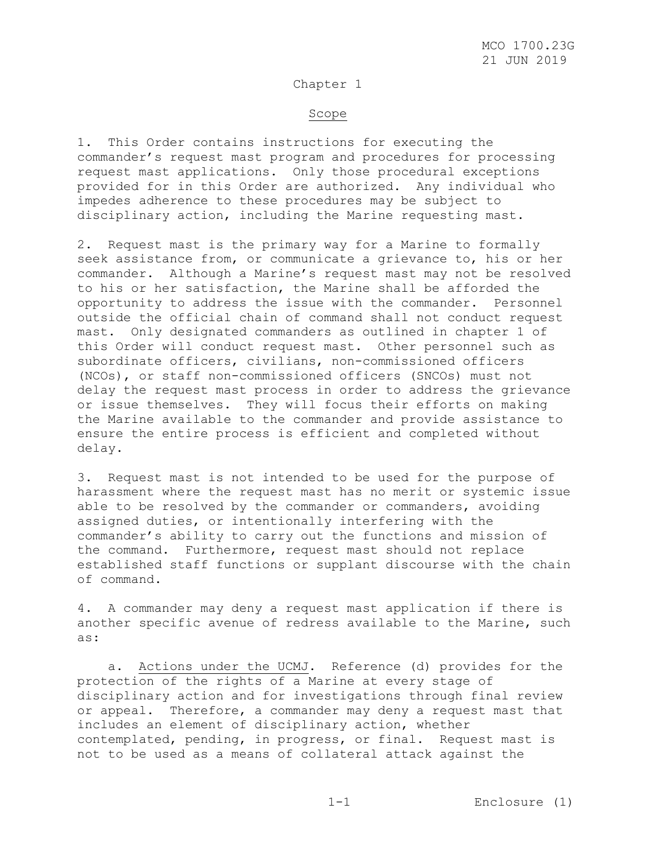### Chapter 1

#### Scope

1. This Order contains instructions for executing the commander's request mast program and procedures for processing request mast applications. Only those procedural exceptions provided for in this Order are authorized. Any individual who impedes adherence to these procedures may be subject to disciplinary action, including the Marine requesting mast.

2. Request mast is the primary way for a Marine to formally seek assistance from, or communicate a grievance to, his or her commander. Although a Marine's request mast may not be resolved to his or her satisfaction, the Marine shall be afforded the opportunity to address the issue with the commander. Personnel outside the official chain of command shall not conduct request mast. Only designated commanders as outlined in chapter 1 of this Order will conduct request mast. Other personnel such as subordinate officers, civilians, non-commissioned officers (NCOs), or staff non-commissioned officers (SNCOs) must not delay the request mast process in order to address the grievance or issue themselves. They will focus their efforts on making the Marine available to the commander and provide assistance to ensure the entire process is efficient and completed without delay.

3. Request mast is not intended to be used for the purpose of harassment where the request mast has no merit or systemic issue able to be resolved by the commander or commanders, avoiding assigned duties, or intentionally interfering with the commander's ability to carry out the functions and mission of the command. Furthermore, request mast should not replace established staff functions or supplant discourse with the chain of command.

4. A commander may deny a request mast application if there is another specific avenue of redress available to the Marine, such as:

 a. Actions under the UCMJ. Reference (d) provides for the protection of the rights of a Marine at every stage of disciplinary action and for investigations through final review or appeal. Therefore, a commander may deny a request mast that includes an element of disciplinary action, whether contemplated, pending, in progress, or final. Request mast is not to be used as a means of collateral attack against the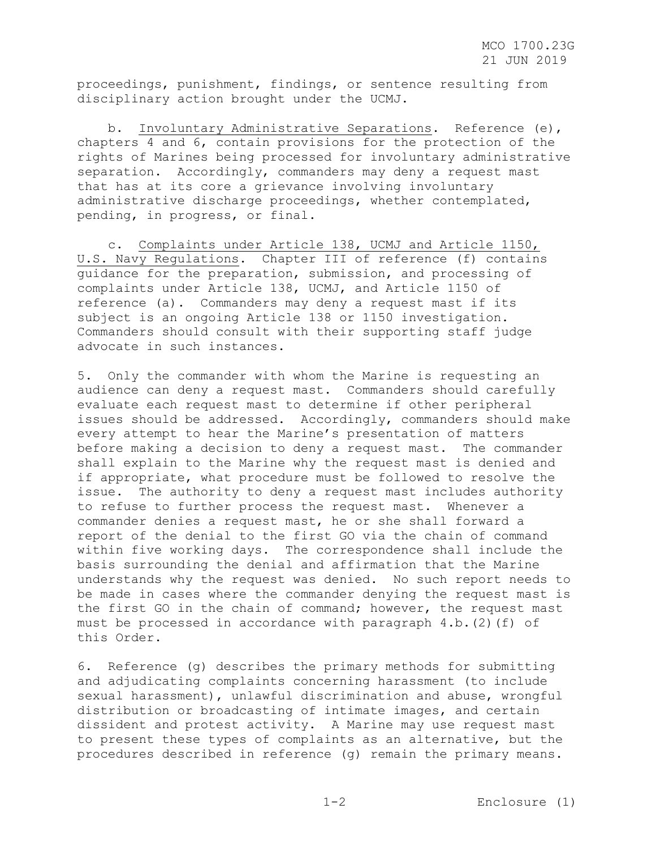proceedings, punishment, findings, or sentence resulting from disciplinary action brought under the UCMJ.

 b. Involuntary Administrative Separations. Reference (e), chapters 4 and 6, contain provisions for the protection of the rights of Marines being processed for involuntary administrative separation. Accordingly, commanders may deny a request mast that has at its core a grievance involving involuntary administrative discharge proceedings, whether contemplated, pending, in progress, or final.

 c. Complaints under Article 138, UCMJ and Article 1150, U.S. Navy Regulations. Chapter III of reference (f) contains guidance for the preparation, submission, and processing of complaints under Article 138, UCMJ, and Article 1150 of reference (a). Commanders may deny a request mast if its subject is an ongoing Article 138 or 1150 investigation. Commanders should consult with their supporting staff judge advocate in such instances.

5. Only the commander with whom the Marine is requesting an audience can deny a request mast. Commanders should carefully evaluate each request mast to determine if other peripheral issues should be addressed. Accordingly, commanders should make every attempt to hear the Marine's presentation of matters before making a decision to deny a request mast. The commander shall explain to the Marine why the request mast is denied and if appropriate, what procedure must be followed to resolve the issue. The authority to deny a request mast includes authority to refuse to further process the request mast. Whenever a commander denies a request mast, he or she shall forward a report of the denial to the first GO via the chain of command within five working days. The correspondence shall include the basis surrounding the denial and affirmation that the Marine understands why the request was denied. No such report needs to be made in cases where the commander denying the request mast is the first GO in the chain of command; however, the request mast must be processed in accordance with paragraph  $4.b.(2) (f)$  of this Order.

6. Reference (g) describes the primary methods for submitting and adjudicating complaints concerning harassment (to include sexual harassment), unlawful discrimination and abuse, wrongful distribution or broadcasting of intimate images, and certain dissident and protest activity. A Marine may use request mast to present these types of complaints as an alternative, but the procedures described in reference (g) remain the primary means.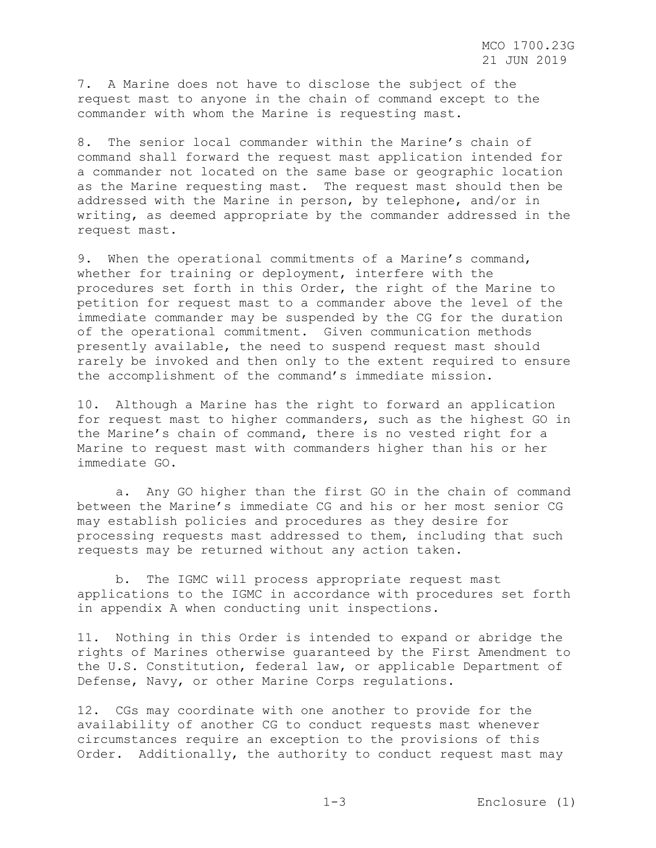7. A Marine does not have to disclose the subject of the request mast to anyone in the chain of command except to the commander with whom the Marine is requesting mast.

8. The senior local commander within the Marine's chain of command shall forward the request mast application intended for a commander not located on the same base or geographic location as the Marine requesting mast. The request mast should then be addressed with the Marine in person, by telephone, and/or in writing, as deemed appropriate by the commander addressed in the request mast.

9. When the operational commitments of a Marine's command, whether for training or deployment, interfere with the procedures set forth in this Order, the right of the Marine to petition for request mast to a commander above the level of the immediate commander may be suspended by the CG for the duration of the operational commitment. Given communication methods presently available, the need to suspend request mast should rarely be invoked and then only to the extent required to ensure the accomplishment of the command's immediate mission.

10. Although a Marine has the right to forward an application for request mast to higher commanders, such as the highest GO in the Marine's chain of command, there is no vested right for a Marine to request mast with commanders higher than his or her immediate GO.

 a. Any GO higher than the first GO in the chain of command between the Marine's immediate CG and his or her most senior CG may establish policies and procedures as they desire for processing requests mast addressed to them, including that such requests may be returned without any action taken.

 b. The IGMC will process appropriate request mast applications to the IGMC in accordance with procedures set forth in appendix A when conducting unit inspections.

11. Nothing in this Order is intended to expand or abridge the rights of Marines otherwise guaranteed by the First Amendment to the U.S. Constitution, federal law, or applicable Department of Defense, Navy, or other Marine Corps regulations.

12. CGs may coordinate with one another to provide for the availability of another CG to conduct requests mast whenever circumstances require an exception to the provisions of this Order. Additionally, the authority to conduct request mast may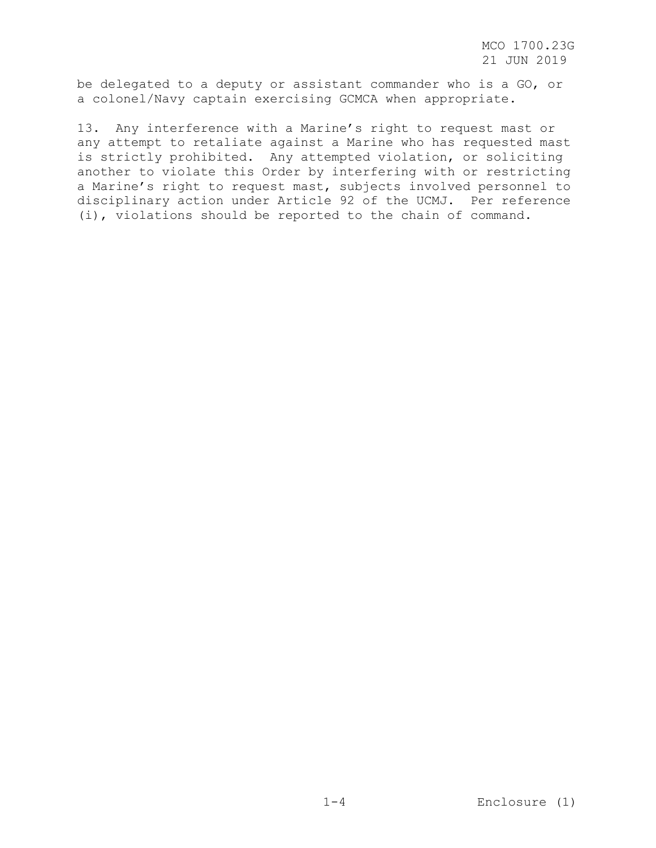MCO 1700.23G 21 JUN 2019

be delegated to a deputy or assistant commander who is a GO, or a colonel/Navy captain exercising GCMCA when appropriate.

13. Any interference with a Marine's right to request mast or any attempt to retaliate against a Marine who has requested mast is strictly prohibited. Any attempted violation, or soliciting another to violate this Order by interfering with or restricting a Marine's right to request mast, subjects involved personnel to disciplinary action under Article 92 of the UCMJ. Per reference (i), violations should be reported to the chain of command.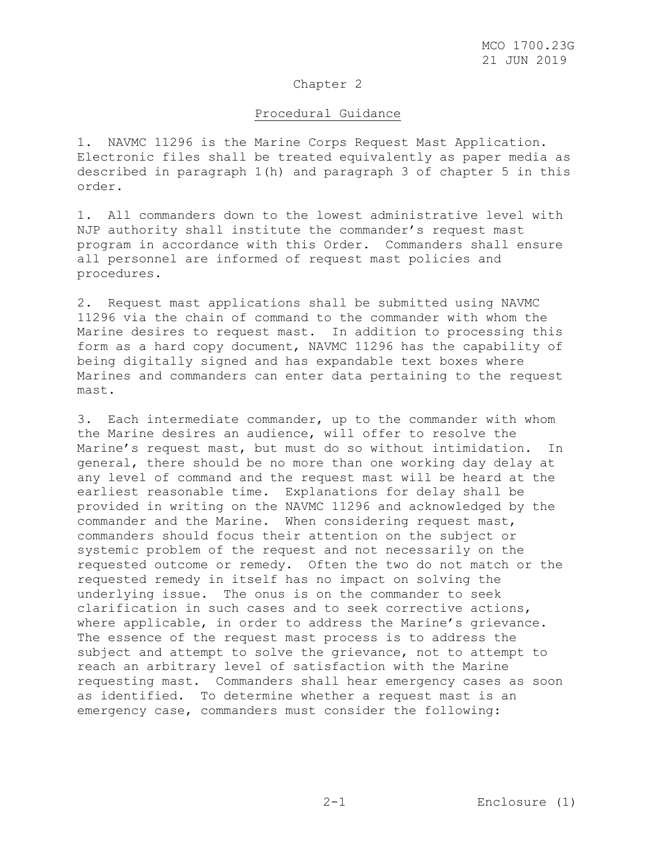## Chapter 2

### Procedural Guidance

1. NAVMC 11296 is the Marine Corps Request Mast Application. Electronic files shall be treated equivalently as paper media as described in paragraph 1(h) and paragraph 3 of chapter 5 in this order.

1. All commanders down to the lowest administrative level with NJP authority shall institute the commander's request mast program in accordance with this Order. Commanders shall ensure all personnel are informed of request mast policies and procedures.

2. Request mast applications shall be submitted using NAVMC 11296 via the chain of command to the commander with whom the Marine desires to request mast. In addition to processing this form as a hard copy document, NAVMC 11296 has the capability of being digitally signed and has expandable text boxes where Marines and commanders can enter data pertaining to the request mast.

3. Each intermediate commander, up to the commander with whom the Marine desires an audience, will offer to resolve the Marine's request mast, but must do so without intimidation. In general, there should be no more than one working day delay at any level of command and the request mast will be heard at the earliest reasonable time. Explanations for delay shall be provided in writing on the NAVMC 11296 and acknowledged by the commander and the Marine. When considering request mast, commanders should focus their attention on the subject or systemic problem of the request and not necessarily on the requested outcome or remedy. Often the two do not match or the requested remedy in itself has no impact on solving the underlying issue. The onus is on the commander to seek clarification in such cases and to seek corrective actions, where applicable, in order to address the Marine's grievance. The essence of the request mast process is to address the subject and attempt to solve the grievance, not to attempt to reach an arbitrary level of satisfaction with the Marine requesting mast. Commanders shall hear emergency cases as soon as identified. To determine whether a request mast is an emergency case, commanders must consider the following: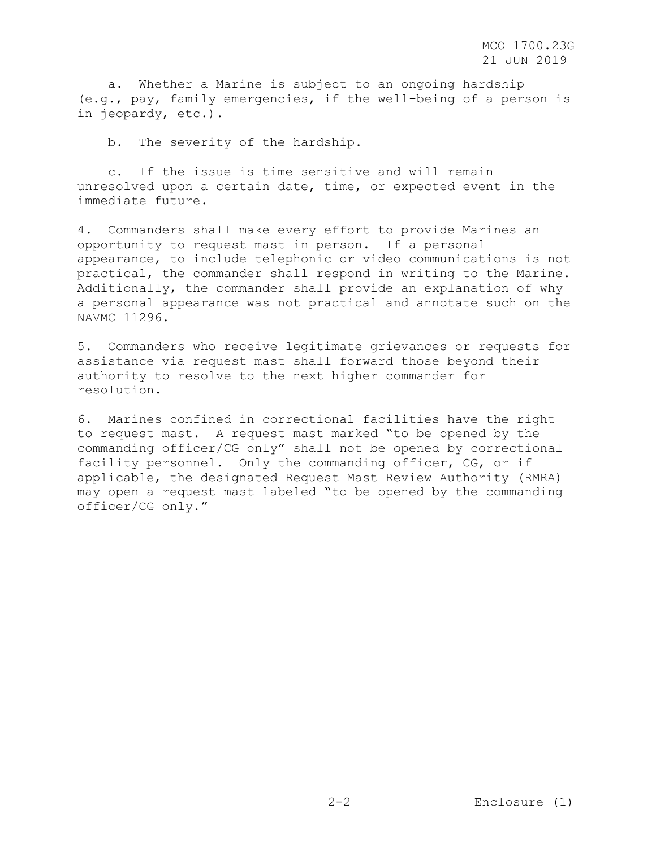a. Whether a Marine is subject to an ongoing hardship (e.g., pay, family emergencies, if the well-being of a person is in jeopardy, etc.).

b. The severity of the hardship.

 c. If the issue is time sensitive and will remain unresolved upon a certain date, time, or expected event in the immediate future.

4. Commanders shall make every effort to provide Marines an opportunity to request mast in person. If a personal appearance, to include telephonic or video communications is not practical, the commander shall respond in writing to the Marine. Additionally, the commander shall provide an explanation of why a personal appearance was not practical and annotate such on the NAVMC 11296.

5. Commanders who receive legitimate grievances or requests for assistance via request mast shall forward those beyond their authority to resolve to the next higher commander for resolution.

6. Marines confined in correctional facilities have the right to request mast. A request mast marked "to be opened by the commanding officer/CG only" shall not be opened by correctional facility personnel. Only the commanding officer, CG, or if applicable, the designated Request Mast Review Authority (RMRA) may open a request mast labeled "to be opened by the commanding officer/CG only."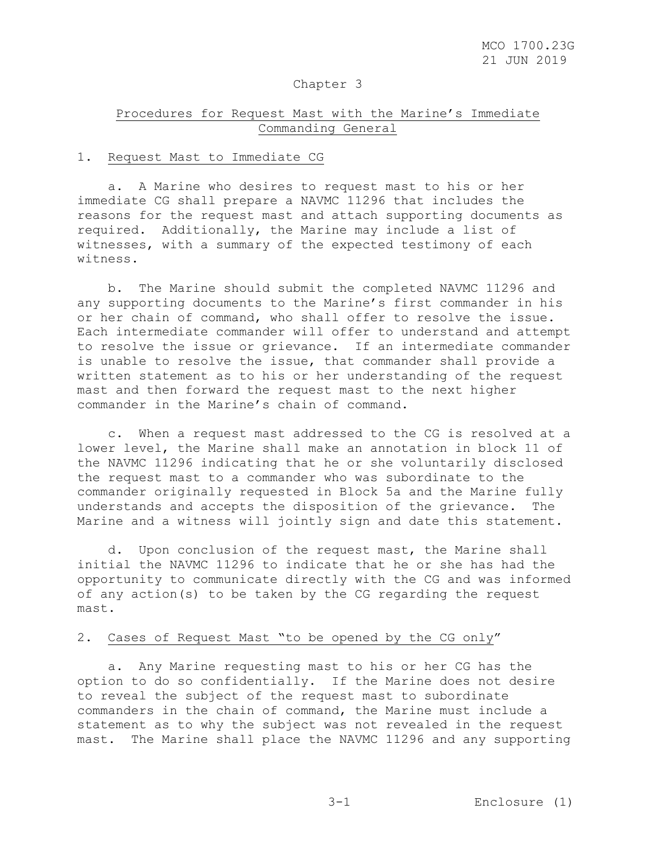### Chapter 3

# Procedures for Request Mast with the Marine's Immediate Commanding General

### 1. Request Mast to Immediate CG

 a. A Marine who desires to request mast to his or her immediate CG shall prepare a NAVMC 11296 that includes the reasons for the request mast and attach supporting documents as required. Additionally, the Marine may include a list of witnesses, with a summary of the expected testimony of each witness.

 b. The Marine should submit the completed NAVMC 11296 and any supporting documents to the Marine's first commander in his or her chain of command, who shall offer to resolve the issue. Each intermediate commander will offer to understand and attempt to resolve the issue or grievance. If an intermediate commander is unable to resolve the issue, that commander shall provide a written statement as to his or her understanding of the request mast and then forward the request mast to the next higher commander in the Marine's chain of command.

 c. When a request mast addressed to the CG is resolved at a lower level, the Marine shall make an annotation in block 11 of the NAVMC 11296 indicating that he or she voluntarily disclosed the request mast to a commander who was subordinate to the commander originally requested in Block 5a and the Marine fully understands and accepts the disposition of the grievance. The Marine and a witness will jointly sign and date this statement.

 d. Upon conclusion of the request mast, the Marine shall initial the NAVMC 11296 to indicate that he or she has had the opportunity to communicate directly with the CG and was informed of any action(s) to be taken by the CG regarding the request mast.

# 2. Cases of Request Mast "to be opened by the CG only"

 a. Any Marine requesting mast to his or her CG has the option to do so confidentially. If the Marine does not desire to reveal the subject of the request mast to subordinate commanders in the chain of command, the Marine must include a statement as to why the subject was not revealed in the request mast. The Marine shall place the NAVMC 11296 and any supporting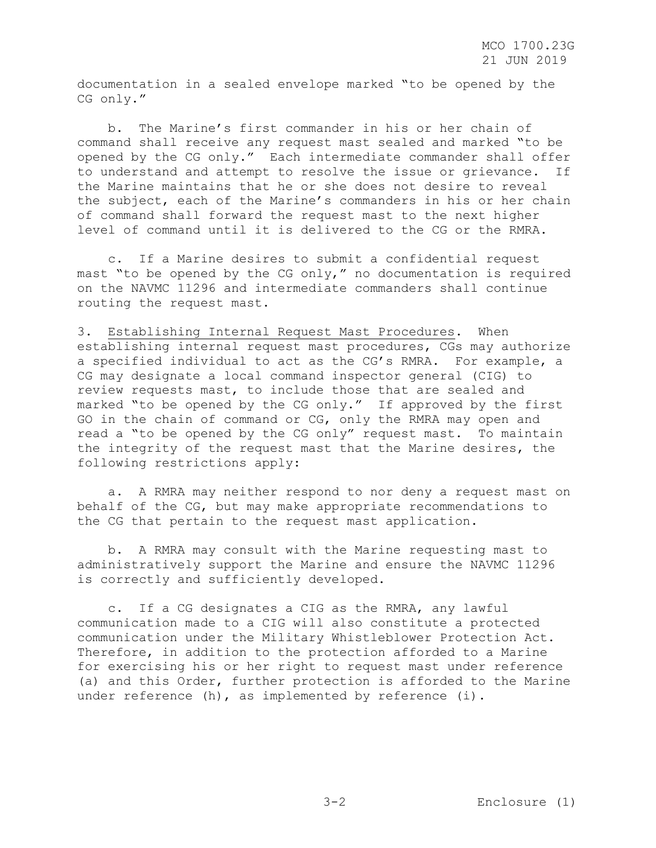documentation in a sealed envelope marked "to be opened by the CG only."

 b. The Marine's first commander in his or her chain of command shall receive any request mast sealed and marked "to be opened by the CG only." Each intermediate commander shall offer to understand and attempt to resolve the issue or grievance. If the Marine maintains that he or she does not desire to reveal the subject, each of the Marine's commanders in his or her chain of command shall forward the request mast to the next higher level of command until it is delivered to the CG or the RMRA.

 c. If a Marine desires to submit a confidential request mast "to be opened by the CG only," no documentation is required on the NAVMC 11296 and intermediate commanders shall continue routing the request mast.

3. Establishing Internal Request Mast Procedures. When establishing internal request mast procedures, CGs may authorize a specified individual to act as the CG's RMRA. For example, a CG may designate a local command inspector general (CIG) to review requests mast, to include those that are sealed and marked "to be opened by the CG only." If approved by the first GO in the chain of command or CG, only the RMRA may open and read a "to be opened by the CG only" request mast. To maintain the integrity of the request mast that the Marine desires, the following restrictions apply:

 a. A RMRA may neither respond to nor deny a request mast on behalf of the CG, but may make appropriate recommendations to the CG that pertain to the request mast application.

 b. A RMRA may consult with the Marine requesting mast to administratively support the Marine and ensure the NAVMC 11296 is correctly and sufficiently developed.

 c. If a CG designates a CIG as the RMRA, any lawful communication made to a CIG will also constitute a protected communication under the Military Whistleblower Protection Act. Therefore, in addition to the protection afforded to a Marine for exercising his or her right to request mast under reference (a) and this Order, further protection is afforded to the Marine under reference (h), as implemented by reference (i).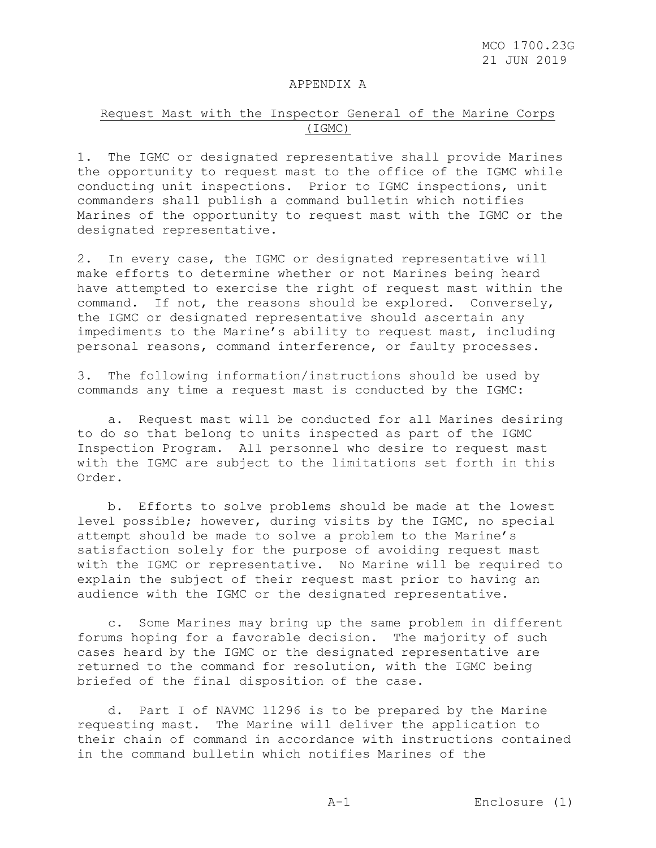#### APPENDIX A

# Request Mast with the Inspector General of the Marine Corps (IGMC)

1. The IGMC or designated representative shall provide Marines the opportunity to request mast to the office of the IGMC while conducting unit inspections. Prior to IGMC inspections, unit commanders shall publish a command bulletin which notifies Marines of the opportunity to request mast with the IGMC or the designated representative.

2. In every case, the IGMC or designated representative will make efforts to determine whether or not Marines being heard have attempted to exercise the right of request mast within the command. If not, the reasons should be explored. Conversely, the IGMC or designated representative should ascertain any impediments to the Marine's ability to request mast, including personal reasons, command interference, or faulty processes.

3. The following information/instructions should be used by commands any time a request mast is conducted by the IGMC:

 a. Request mast will be conducted for all Marines desiring to do so that belong to units inspected as part of the IGMC Inspection Program. All personnel who desire to request mast with the IGMC are subject to the limitations set forth in this Order.

 b. Efforts to solve problems should be made at the lowest level possible; however, during visits by the IGMC, no special attempt should be made to solve a problem to the Marine's satisfaction solely for the purpose of avoiding request mast with the IGMC or representative. No Marine will be required to explain the subject of their request mast prior to having an audience with the IGMC or the designated representative.

 c. Some Marines may bring up the same problem in different forums hoping for a favorable decision. The majority of such cases heard by the IGMC or the designated representative are returned to the command for resolution, with the IGMC being briefed of the final disposition of the case.

 d. Part I of NAVMC 11296 is to be prepared by the Marine requesting mast. The Marine will deliver the application to their chain of command in accordance with instructions contained in the command bulletin which notifies Marines of the

A-1 Enclosure (1)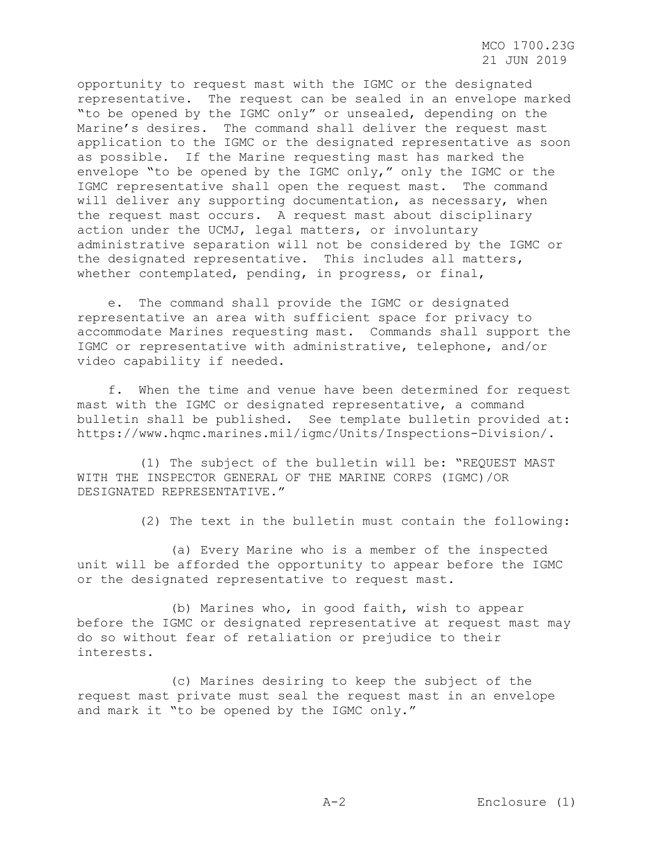opportunity to request mast with the IGMC or the designated representative. The request can be sealed in an envelope marked "to be opened by the IGMC only" or unsealed, depending on the Marine's desires. The command shall deliver the request mast application to the IGMC or the designated representative as soon as possible. If the Marine requesting mast has marked the envelope "to be opened by the IGMC only," only the IGMC or the IGMC representative shall open the request mast. The command will deliver any supporting documentation, as necessary, when the request mast occurs. A request mast about disciplinary action under the UCMJ, legal matters, or involuntary administrative separation will not be considered by the IGMC or the designated representative. This includes all matters, whether contemplated, pending, in progress, or final,

 e. The command shall provide the IGMC or designated representative an area with sufficient space for privacy to accommodate Marines requesting mast. Commands shall support the IGMC or representative with administrative, telephone, and/or video capability if needed.

 f. When the time and venue have been determined for request mast with the IGMC or designated representative, a command bulletin shall be published. See template bulletin provided at: https://www.hqmc.marines.mil/igmc/Units/Inspections-Division/.

 (1) The subject of the bulletin will be: "REQUEST MAST WITH THE INSPECTOR GENERAL OF THE MARINE CORPS (IGMC)/OR DESIGNATED REPRESENTATIVE."

(2) The text in the bulletin must contain the following:

 (a) Every Marine who is a member of the inspected unit will be afforded the opportunity to appear before the IGMC or the designated representative to request mast.

 (b) Marines who, in good faith, wish to appear before the IGMC or designated representative at request mast may do so without fear of retaliation or prejudice to their interests.

 (c) Marines desiring to keep the subject of the request mast private must seal the request mast in an envelope and mark it "to be opened by the IGMC only."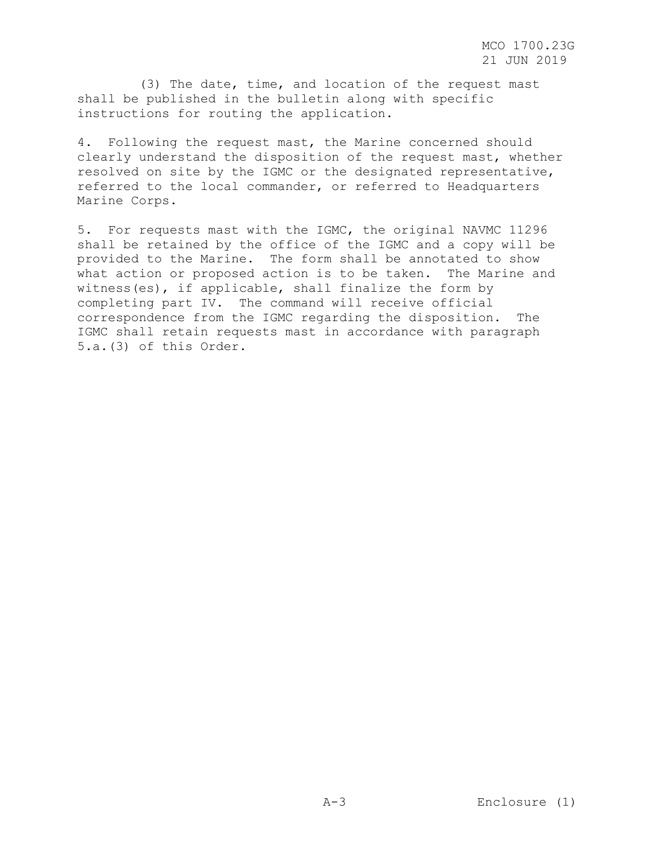(3) The date, time, and location of the request mast shall be published in the bulletin along with specific instructions for routing the application.

4. Following the request mast, the Marine concerned should clearly understand the disposition of the request mast, whether resolved on site by the IGMC or the designated representative, referred to the local commander, or referred to Headquarters Marine Corps.

5. For requests mast with the IGMC, the original NAVMC 11296 shall be retained by the office of the IGMC and a copy will be provided to the Marine. The form shall be annotated to show what action or proposed action is to be taken. The Marine and witness(es), if applicable, shall finalize the form by completing part IV. The command will receive official correspondence from the IGMC regarding the disposition. The IGMC shall retain requests mast in accordance with paragraph 5.a.(3) of this Order.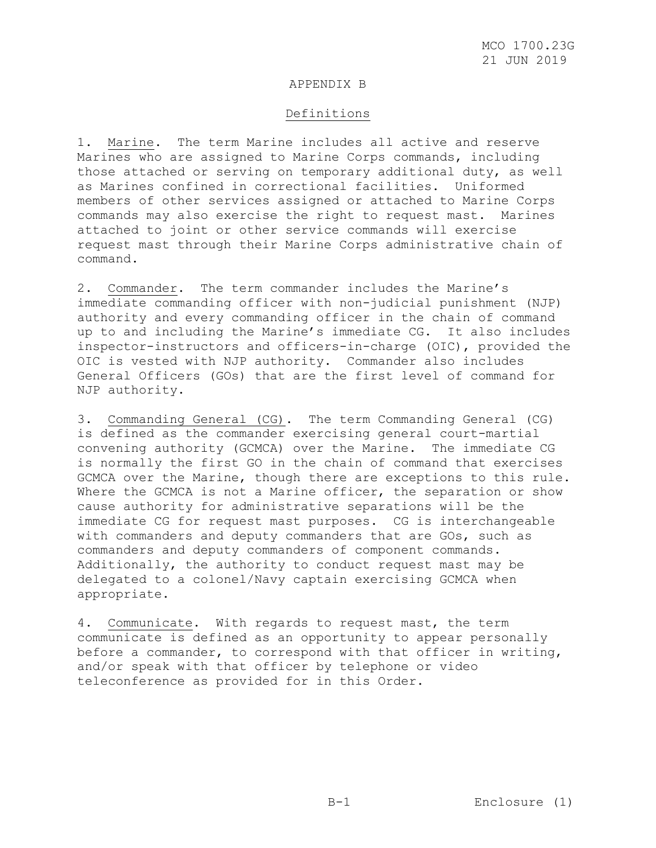### APPENDIX B

# Definitions

1. Marine. The term Marine includes all active and reserve Marines who are assigned to Marine Corps commands, including those attached or serving on temporary additional duty, as well as Marines confined in correctional facilities. Uniformed members of other services assigned or attached to Marine Corps commands may also exercise the right to request mast. Marines attached to joint or other service commands will exercise request mast through their Marine Corps administrative chain of command.

2. Commander. The term commander includes the Marine's immediate commanding officer with non-judicial punishment (NJP) authority and every commanding officer in the chain of command up to and including the Marine's immediate CG. It also includes inspector-instructors and officers-in-charge (OIC), provided the OIC is vested with NJP authority. Commander also includes General Officers (GOs) that are the first level of command for NJP authority.

3. Commanding General (CG). The term Commanding General (CG) is defined as the commander exercising general court-martial convening authority (GCMCA) over the Marine. The immediate CG is normally the first GO in the chain of command that exercises GCMCA over the Marine, though there are exceptions to this rule. Where the GCMCA is not a Marine officer, the separation or show cause authority for administrative separations will be the immediate CG for request mast purposes. CG is interchangeable with commanders and deputy commanders that are GOs, such as commanders and deputy commanders of component commands. Additionally, the authority to conduct request mast may be delegated to a colonel/Navy captain exercising GCMCA when appropriate.

4. Communicate. With regards to request mast, the term communicate is defined as an opportunity to appear personally before a commander, to correspond with that officer in writing, and/or speak with that officer by telephone or video teleconference as provided for in this Order.